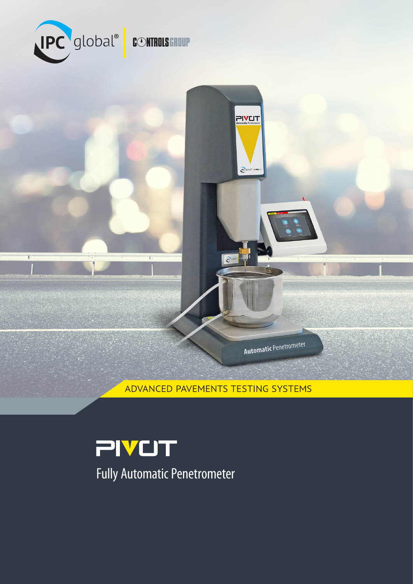

т

ADVANCED PAVEMENTS TESTING SYSTEMS

PIVUT

 $\overline{\mathbf{P}^{\mathbf{C}}_{\mathbf{G}}}$ gic

Automatic Penetrometer

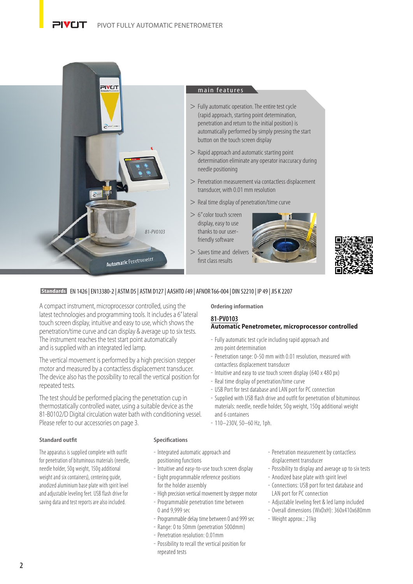#### דו ז**ע**וכ PIVOT FULLY AUTOMATIC PENETROMETER



# main features

- $>$  Fully automatic operation. The entire test cycle (rapid approach, starting point determination, penetration and return to the initial position) is automatically performed by simply pressing the start button on the touch screen display
- > Rapid approach and automatic starting point determination eliminate any operator inaccuracy during needle positioning
- > Penetration measurement via contactless displacement transducer, with 0.01 mm resolution
- > Real time display of penetration/time curve
- > 6" color touch screen display, easy to use thanks to our userfriendly software
- > Saves time and delivers first class results





# **Standards** EN 1426 | EN13380-2 | ASTM D5 | ASTM D127 | AASHTO T49 | AFNOR T66-004 | DIN 52210 | IP 49 | JIS K 2207

A compact instrument, microprocessor controlled, using the latest technologies and programming tools. It includes a 6" lateral touch screen display, intuitive and easy to use, which shows the penetration/time curve and can display & average up to six tests. The instrument reaches the test start point automatically and is supplied with an integrated led lamp.

The vertical movement is performed by a high precision stepper motor and measured by a contactless displacement transducer. The device also has the possibility to recall the vertical position for repeated tests.

The test should be performed placing the penetration cup in thermostatically controlled water, using a suitable device as the 81-B0102/D Digital circulation water bath with conditioning vessel. Please refer to our accessories on page 3.

# **Ordering information**

#### **81-PV0103 Automatic Penetrometer, microprocessor controlled**

- Fully automatic test cycle including rapid approach and zero point determination
- Penetration range: 0-50 mm with 0.01 resolution, measured with contactless displacement transducer
- Intuitive and easy to use touch screen display (640 x 480 px)
- Real time display of penetration/time curve
- USB Port for test database and LAN port for PC connection
- Supplied with USB flash drive and outfit for penetration of bituminous materials: needle, needle holder, 50g weight, 150g additional weight and 6 containers
- 110–230V, 50–60 Hz, 1ph.

#### **Standard outfit**

The apparatus is supplied complete with outfit for penetration of bituminous materials (needle, needle holder, 50g weight, 150g additional weight and six containers), centering guide, anodized aluminium base plate with spirit level and adjustable leveling feet. USB flash drive for saving data and test reports are also included.

#### **Specifications**

- Integrated automatic approach and positioning functions
- Intuitive and easy-to-use touch screen display
- Eight programmable reference positions for the holder assembly
- High precision vertical movement by stepper motor
- Programmable penetration time between 0 and 9,999 sec
- Programmable delay time between 0 and 999 sec
- Range: 0 to 50mm (penetration 500dmm)
- Penetration resolution: 0.01mm
- Possibility to recall the vertical position for repeated tests
- Penetration measurement by contactless displacement transducer
- Possibility to display and average up to six tests
- Anodized base plate with spirit level
	- Connections: USB port for test database and LAN port for PC connection
	- Adjustable leveling feet & led lamp included
	- Overall dimensions (WxDxH): 360x410x680mm
	- Weight approx.: 21kg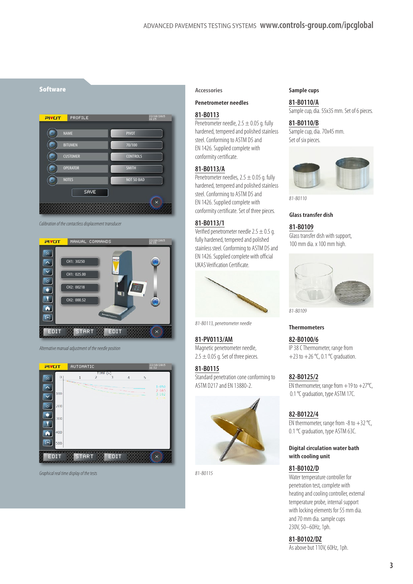

*Calibration of the contactless displacement transducer*



*Alternative manual adjustment of the needle position*



*Graphical real time display of the tests*

# **Accessories**

**Penetrometer needles**

## **81-B0113**

Penetrometer needle,  $2.5 \pm 0.05$  g. fully hardened, tempered and polished stainless steel. Conforming to ASTM D5 and EN 1426. Supplied complete with conformity certificate.

#### **81-B0113/A**

Penetrometer needles,  $2.5 \pm 0.05$  g. fully hardened, tempered and polished stainless steel. Conforming to ASTM D5 and EN 1426. Supplied complete with conformity certificate. Set of three pieces.

# **81-B0113/1**

Verified penetrometer needle 2.5  $\pm$  0.5 g. fully hardened, tempered and polished stainless steel. Conforming to ASTM D5 and EN 1426. Supplied complete with official UKAS Verification Certificate.



81-B0113, penetrometer needle

**81-PV0113/AM**  Magnetic penetrometer needle,  $2.5 \pm 0.05$  g. Set of three pieces.

**81-B0115**  Standard penetration cone conforming to ASTM D217 and EN 13880-2.



81-B0115

#### **Sample cups**

**81-B0110/A** Sample cup, dia. 55x35 mm. Set of 6 pieces.

**81-B0110/B**  Sample cup, dia. 70x45 mm. Set of six pieces.



81-B0110

#### **Glass transfer dish**

#### **81-B0109**

Glass transfer dish with support, 100 mm dia. x 100 mm high.



81-B0109

#### **Thermometers**

**82-B0100/6** IP 38 C Thermometer, range from +23 to +26  $°C$ , 0.1  $°C$  graduation.

# **82-B0125/2**

EN thermometer, range from  $+19$  to  $+27^{\circ}$ C, 0.1 °C graduation, type ASTM 17C.

#### **82-B0122/4**

EN thermometer, range from -8 to  $+32$  °C, 0.1 ℃ graduation, type ASTM 63C.

## **Digital circulation water bath with cooling unit**

#### **81-B0102/D**

Water temperature controller for penetration test, complete with heating and cooling controller, external temperature probe, internal support with locking elements for 55 mm dia. and 70 mm dia. sample cups 230V, 50–60Hz, 1ph.

**81-B0102/DZ** 

As above but 110V, 60Hz, 1ph.